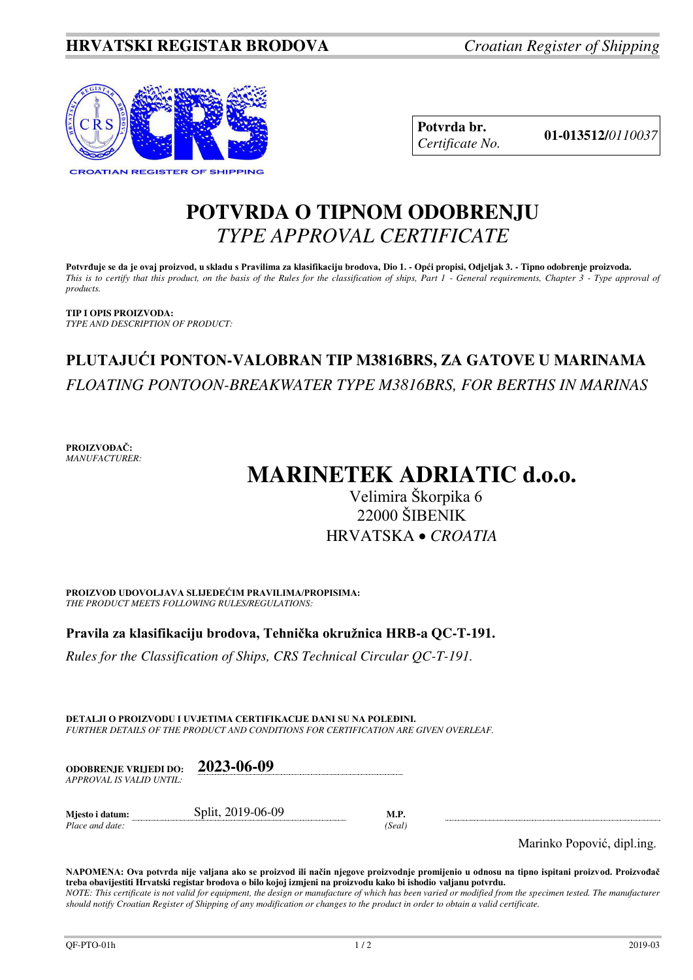

**Potvrda br. 01-013512/***<sup>0110037</sup> Certificate No.* 

## **POTVRDA O TIPNOM ODOBRENJU**  *TYPE APPROVAL CERTIFICATE*

**Potvrđuje se da je ovaj proizvod, u skladu s Pravilima za klasifikaciju brodova, Dio 1. - Opći propisi, Odjeljak 3. - Tipno odobrenje proizvoda.**  *This is to certify that this product, on the basis of the Rules for the classification of ships, Part 1 - General requirements, Chapter 3 - Type approval of products.* 

**TIP I OPIS PROIZVODA:** *TYPE AND DESCRIPTION OF PRODUCT:* 

## **PLUTAJUĆI PONTON-VALOBRAN TIP M3816BRS, ZA GATOVE U MARINAMA**  *FLOATING PONTOON-BREAKWATER TYPE M3816BRS, FOR BERTHS IN MARINAS*

**PROIZVOĐAČ:** *MANUFACTURER:*

# **MARINETEK ADRIATIC d.o.o.**

### Velimira Škorpika 6 22000 ŠIBENIK HRVATSKA *CROATIA*

**PROIZVOD UDOVOLJAVA SLIJEDEĆIM PRAVILIMA/PROPISIMA:** *THE PRODUCT MEETS FOLLOWING RULES/REGULATIONS:* 

### **Pravila za klasifikaciju brodova, Tehnička okružnica HRB-a QC-T-191.**

*Rules for the Classification of Ships, CRS Technical Circular QC-T-191.*

**DETALJI O PROIZVODU I UVJETIMA CERTIFIKACIJE DANI SU NA POLEĐINI.** *FURTHER DETAILS OF THE PRODUCT AND CONDITIONS FOR CERTIFICATION ARE GIVEN OVERLEAF.* 

| <b>ODOBRENJE VRLIEDI DO:</b> | 2023-06-09 |
|------------------------------|------------|
| APPROVAL IS VALID UNTIL:     |            |
|                              |            |

**Mjesto i datum:** Split, 2019-06-09 **M.P.**  *Place and date: (Seal)* 

Marinko Popović, dipl.ing.

**NAPOMENA: Ova potvrda nije valjana ako se proizvod ili način njegove proizvodnje promijenio u odnosu na tipno ispitani proizvod. Proizvođač treba obavijestiti Hrvatski registar brodova o bilo kojoj izmjeni na proizvodu kako bi ishodio valjanu potvrdu.**  *NOTE: This certificate is not valid for equipment, the design or manufacture of which has been varied or modified from the specimen tested. The manufacturer should notify Croatian Register of Shipping of any modification or changes to the product in order to obtain a valid certificate.*